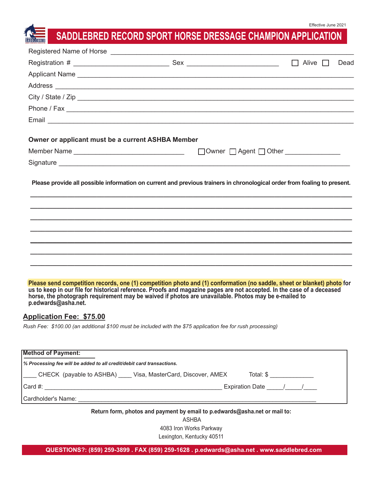# **SADDLEBRED RECORD SPORT HORSE DRESSAGE CHAMPION APPLICATION**

|                                                                       |                                                                                                                                                                                                                                                                                                                                                           | $\Box$ Alive $\Box$<br>Dead                  |
|-----------------------------------------------------------------------|-----------------------------------------------------------------------------------------------------------------------------------------------------------------------------------------------------------------------------------------------------------------------------------------------------------------------------------------------------------|----------------------------------------------|
|                                                                       |                                                                                                                                                                                                                                                                                                                                                           |                                              |
|                                                                       |                                                                                                                                                                                                                                                                                                                                                           |                                              |
|                                                                       | City / State / Zip                                                                                                                                                                                                                                                                                                                                        |                                              |
|                                                                       |                                                                                                                                                                                                                                                                                                                                                           |                                              |
|                                                                       |                                                                                                                                                                                                                                                                                                                                                           |                                              |
| Owner or applicant must be a current ASHBA Member                     |                                                                                                                                                                                                                                                                                                                                                           |                                              |
|                                                                       |                                                                                                                                                                                                                                                                                                                                                           | □ Owner □ Agent □ Other <u>_____________</u> |
|                                                                       |                                                                                                                                                                                                                                                                                                                                                           |                                              |
|                                                                       | Please provide all possible information on current and previous trainers in chronological order from foaling to present.                                                                                                                                                                                                                                  |                                              |
|                                                                       |                                                                                                                                                                                                                                                                                                                                                           |                                              |
|                                                                       |                                                                                                                                                                                                                                                                                                                                                           |                                              |
|                                                                       |                                                                                                                                                                                                                                                                                                                                                           |                                              |
|                                                                       |                                                                                                                                                                                                                                                                                                                                                           |                                              |
| p.edwards@asha.net.<br><b>Application Fee: \$75.00</b>                | Please send competition records, one (1) competition photo and (1) conformation (no saddle, sheet or blanket) photo for<br>us to keep in our file for historical reference. Proofs and magazine pages are not accepted. In the case of a deceased<br>horse, the photograph requirement may be waived if photos are unavailable. Photos may be e-mailed to |                                              |
|                                                                       | Rush Fee: \$100.00 (an additional \$100 must be included with the \$75 application fee for rush processing)                                                                                                                                                                                                                                               |                                              |
| <b>Method of Payment:</b>                                             |                                                                                                                                                                                                                                                                                                                                                           |                                              |
| % Processing fee will be added to all credit/debit card transactions. |                                                                                                                                                                                                                                                                                                                                                           |                                              |
|                                                                       | CHECK (payable to ASHBA) ____ Visa, MasterCard, Discover, AMEX                                                                                                                                                                                                                                                                                            |                                              |
|                                                                       |                                                                                                                                                                                                                                                                                                                                                           |                                              |
|                                                                       |                                                                                                                                                                                                                                                                                                                                                           |                                              |
|                                                                       | Return form, photos and payment by email to p.edwards@asha.net or mail to:<br><b>ASHBA</b>                                                                                                                                                                                                                                                                |                                              |

4083 Iron Works Parkway